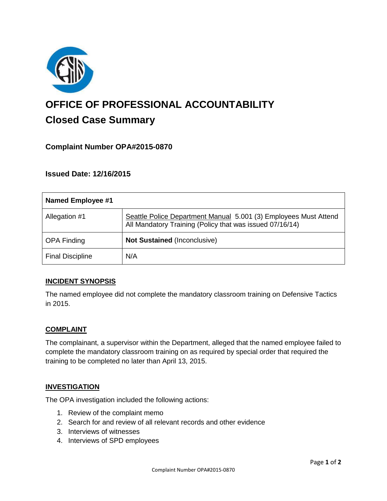

# **OFFICE OF PROFESSIONAL ACCOUNTABILITY Closed Case Summary**

## **Complaint Number OPA#2015-0870**

### **Issued Date: 12/16/2015**

| <b>Named Employee #1</b> |                                                                                                                              |
|--------------------------|------------------------------------------------------------------------------------------------------------------------------|
| Allegation #1            | Seattle Police Department Manual 5.001 (3) Employees Must Attend<br>All Mandatory Training (Policy that was issued 07/16/14) |
| <b>OPA Finding</b>       | <b>Not Sustained (Inconclusive)</b>                                                                                          |
| <b>Final Discipline</b>  | N/A                                                                                                                          |

#### **INCIDENT SYNOPSIS**

The named employee did not complete the mandatory classroom training on Defensive Tactics in 2015.

#### **COMPLAINT**

The complainant, a supervisor within the Department, alleged that the named employee failed to complete the mandatory classroom training on as required by special order that required the training to be completed no later than April 13, 2015.

#### **INVESTIGATION**

The OPA investigation included the following actions:

- 1. Review of the complaint memo
- 2. Search for and review of all relevant records and other evidence
- 3. Interviews of witnesses
- 4. Interviews of SPD employees